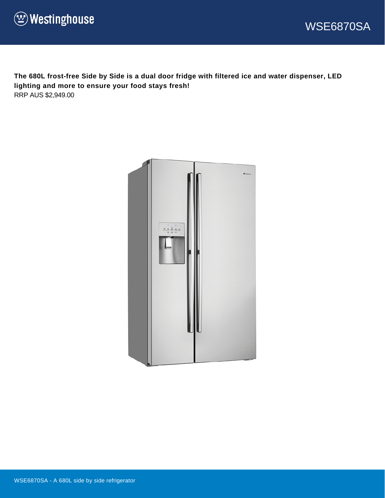



**The 680L frost-free Side by Side is a dual door fridge with filtered ice and water dispenser, LED lighting and more to ensure your food stays fresh!** RRP AUS \$2,949.00

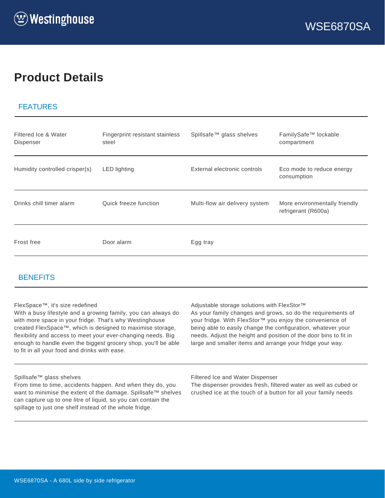# **Product Details**

#### FEATURES

| Filtered Ice & Water<br>Dispenser | Fingerprint resistant stainless<br>steel | Spillsafe <sup>™</sup> glass shelves | FamilySafe <sup>™</sup> lockable<br>compartment      |
|-----------------------------------|------------------------------------------|--------------------------------------|------------------------------------------------------|
| Humidity controlled crisper(s)    | <b>LED</b> lighting                      | External electronic controls         | Eco mode to reduce energy<br>consumption             |
| Drinks chill timer alarm          | Quick freeze function                    | Multi-flow air delivery system       | More environmentally friendly<br>refrigerant (R600a) |
| Frost free                        | Door alarm                               | Egg tray                             |                                                      |

#### **BENEFITS**

#### FlexSpace™, it's size redefined

With a busy lifestyle and a growing family, you can always do with more space in your fridge. That's why Westinghouse created FlexSpace™, which is designed to maximise storage, flexibility and access to meet your ever-changing needs. Big enough to handle even the biggest grocery shop, you'll be able to fit in all your food and drinks with ease.

Adjustable storage solutions with FlexStor™

As your family changes and grows, so do the requirements of your fridge. With FlexStor™ you enjoy the convenience of being able to easily change the configuration, whatever your needs. Adjust the height and position of the door bins to fit in large and smaller items and arrange your fridge your way.

#### Spillsafe™ glass shelves

From time to time, accidents happen. And when they do, you want to minimise the extent of the damage. Spillsafe™ shelves can capture up to one litre of liquid, so you can contain the spillage to just one shelf instead of the whole fridge.

Filtered Ice and Water Dispenser

The dispenser provides fresh, filtered water as well as cubed or crushed ice at the touch of a button for all your family needs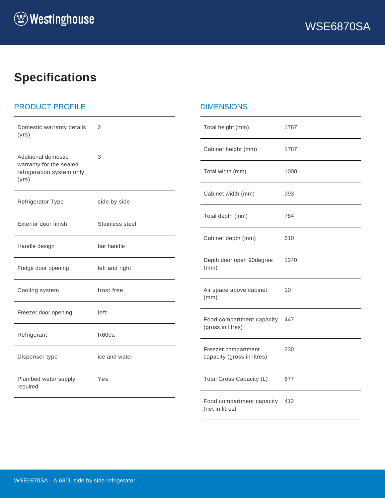# **Specifications**

# PRODUCT PROFILE

| Domestic warranty details<br>(yrs)                            | 2               | Total height                |
|---------------------------------------------------------------|-----------------|-----------------------------|
| Additional domestic                                           | 3               | Cabinet heig                |
| warranty for the sealed<br>refrigeration system only<br>(yrs) |                 | Total width (               |
| Refrigerator Type                                             | side by side    | Cabinet widt                |
| Exterior door finish                                          | Stainless steel | Total depth                 |
| Handle design                                                 | bar handle      | Cabinet dep                 |
| Fridge door opening                                           | left and right  | Depth door o<br>(mm)        |
| Cooling system                                                | frost free      | Air space at<br>(mm)        |
| Freezer door opening                                          | left            | Food compa                  |
| Refrigerant                                                   | R600a           | (gross in litre             |
| Dispenser type                                                | ice and water   | Freezer com<br>capacity (gr |
| Plumbed water supply<br>required                              | Yes             | <b>Total Gross</b>          |
|                                                               |                 | Food compa                  |

#### DIMENSIONS

| Total height (mm)                                 | 1787 |
|---------------------------------------------------|------|
| Cabinet height (mm)                               | 1787 |
| Total width (mm)                                  | 1000 |
| Cabinet width (mm)                                | 993  |
| Total depth (mm)                                  | 784  |
| Cabinet depth (mm)                                | 610  |
| Depth door open 90degree<br>(mm)                  | 1240 |
| Air space above cabinet<br>(mm)                   | 10   |
| Food compartment capacity<br>(gross in litres)    | 447  |
| Freezer compartment<br>capacity (gross in litres) | 230  |
| Total Gross Capacity (L)                          | 677  |
| Food compartment capacity<br>(net in litres)      | 412  |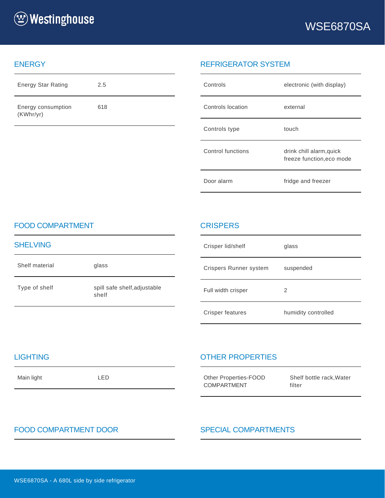

#### **ENERGY**

| <b>Energy Star Rating</b>       | 2.5 |
|---------------------------------|-----|
| Energy consumption<br>(KWhr/yr) | 618 |

### REFRIGERATOR SYSTEM

| Controls          | electronic (with display)                             |
|-------------------|-------------------------------------------------------|
| Controls location | external                                              |
| Controls type     | touch                                                 |
| Control functions | drink chill alarm, quick<br>freeze function, eco mode |
| Door alarm        | fridge and freezer                                    |

#### FOOD COMPARTMENT

| <b>SHELVING</b> |                                       |
|-----------------|---------------------------------------|
| Shelf material  | glass                                 |
| Type of shelf   | spill safe shelf, adjustable<br>shelf |

### **CRISPERS**

| Crisper lid/shelf      | glass               |
|------------------------|---------------------|
| Crispers Runner system | suspended           |
| Full width crisper     | 2                   |
| Crisper features       | humidity controlled |

#### **LIGHTING**

Main light LED

## OTHER PROPERTIES

| Other Properties-FOOD | Shelf bottle |
|-----------------------|--------------|
| <b>COMPARTMENT</b>    | filter       |

# rack, Water

# FOOD COMPARTMENT DOOR SPECIAL COMPARTMENTS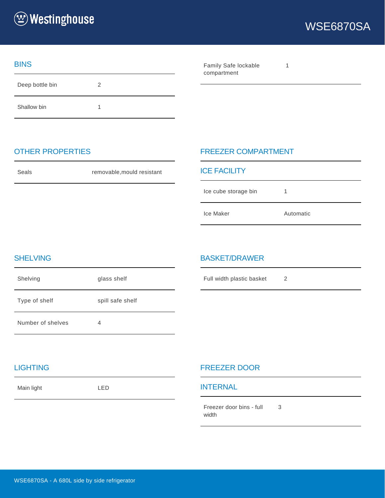

#### **BINS**

Deep bottle bin 2 Shallow bin 1

| Family Safe lockable |  |
|----------------------|--|
| compartment          |  |

### OTHER PROPERTIES

Seals **Seals** removable, mould resistant

### FREEZER COMPARTMENT

| <b>ICE FACILITY</b>  |           |  |
|----------------------|-----------|--|
| Ice cube storage bin |           |  |
| Ice Maker            | Automatic |  |

### SHELVING

| Shelving          | glass shelf      |
|-------------------|------------------|
| Type of shelf     | spill safe shelf |
| Number of shelves | 4                |

#### BASKET/DRAWER

Full width plastic basket 2

#### LIGHTING

Main light LED

#### FREEZER DOOR

#### INTERNAL

Freezer door bins - full width 3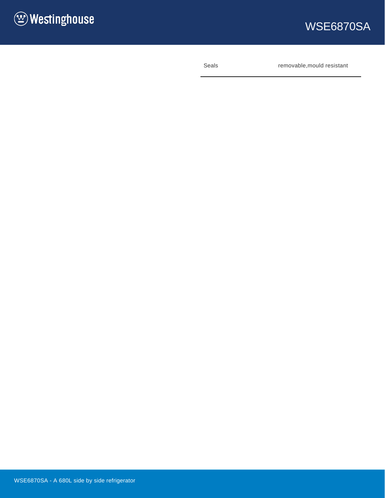

# WSE6870SA

Seals **Seals** removable, mould resistant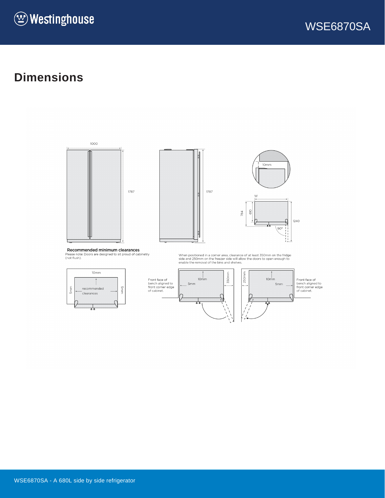



# **Dimensions**







**Recommended minimum clearances**<br>Please note: Doors are designed to sit proud of cabinetry<br>(not flush).



Front face of<br>bench aligned to<br>front corner edge<br>of cabinet.



When positioned in a corner area, clearance of at least 350mm on the fridge<br>side and 250mm on the freezer side will allow the doors to open enough to<br>enable the removal of the bins and shelves.

 $250mm$  $10<sub>mm</sub>$ 5mm

Front face of<br>bench aligned to<br>front corner edge<br>of cabinet.